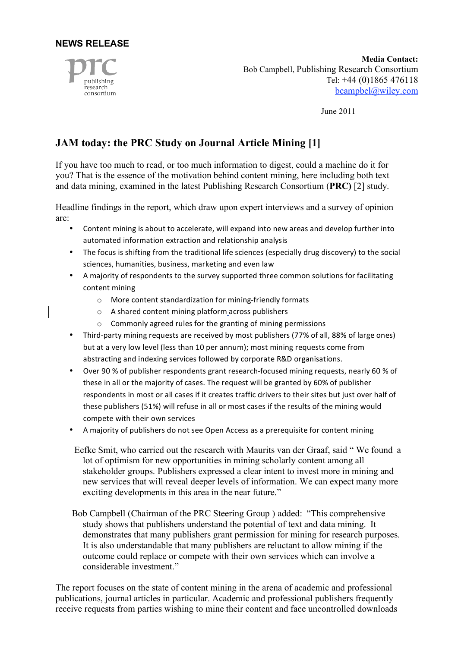



**Media Contact:** Bob Campbell, Publishing Research Consortium Tel: +44 (0)1865 476118 bcampbel@wiley.com

June 2011

## **JAM today: the PRC Study on Journal Article Mining [1]**

If you have too much to read, or too much information to digest, could a machine do it for you? That is the essence of the motivation behind content mining, here including both text and data mining, examined in the latest Publishing Research Consortium (**PRC)** [2] study.

Headline findings in the report, which draw upon expert interviews and a survey of opinion are:

- Content mining is about to accelerate, will expand into new areas and develop further into automated
information
extraction
and
relationship
analysis
- The focus is shifting from the traditional life sciences (especially drug discovery) to the social sciences,
humanities,
business,
marketing
and
even
law
- A majority of respondents to the survey supported three common solutions for facilitating content
mining
	- o More
	content
	standardization
	for
	mining‐friendly
	formats
	- o A
	shared
	content
	mining
	platform across
	publishers
	- o Commonly
	agreed
	rules
	for
	the
	granting
	of
	mining
	permissions
- Third-party mining requests are received by most publishers (77% of all, 88% of large ones) but at a very low level (less than 10 per annum); most mining requests come from abstracting
and
indexing
services
followed
by
corporate
R&D
organisations.
- Over 90 % of publisher respondents grant research-focused mining requests, nearly 60 % of these in all or the majority of cases. The request will be granted by 60% of publisher respondents in most or all cases if it creates traffic drivers to their sites but just over half of these publishers (51%) will refuse in all or most cases if the results of the mining would compete
with
their
own
services
- A majority of publishers do not see Open Access as a prerequisite for content mining
- Eefke Smit, who carried out the research with Maurits van der Graaf, said " We found a lot of optimism for new opportunities in mining scholarly content among all stakeholder groups. Publishers expressed a clear intent to invest more in mining and new services that will reveal deeper levels of information. We can expect many more exciting developments in this area in the near future."
- Bob Campbell (Chairman of the PRC Steering Group ) added: "This comprehensive study shows that publishers understand the potential of text and data mining. It demonstrates that many publishers grant permission for mining for research purposes. It is also understandable that many publishers are reluctant to allow mining if the outcome could replace or compete with their own services which can involve a considerable investment."

The report focuses on the state of content mining in the arena of academic and professional publications, journal articles in particular. Academic and professional publishers frequently receive requests from parties wishing to mine their content and face uncontrolled downloads